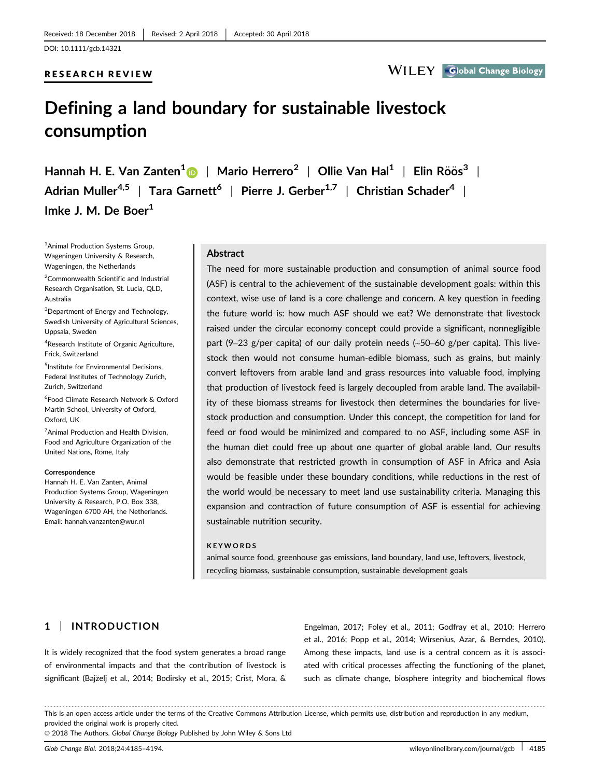#### RESEARCH REVIEW

#### **WILEY** Global Change Biology

# **Defining a land boundary for sustainable livestock consumption**

**Hannah H. E. Van Zanten<sup>1</sup> D | Mario Herrero<sup>2</sup> | Ollie Van Hal<sup>1</sup> | Elin Röös<sup>3</sup> | Adrian Muller4,5** | **Tara Garnett<sup>6</sup>** | **Pierre J. Gerber1,7** | **Christian Schader4** | **Imke J. M. De Boer<sup>1</sup>**

<sup>1</sup>Animal Production Systems Group, Wageningen University & Research, Wageningen, the Netherlands

2 Commonwealth Scientific and Industrial Research Organisation, St. Lucia, QLD, Australia

<sup>3</sup>Department of Energy and Technology, Swedish University of Agricultural Sciences, Uppsala, Sweden

4 Research Institute of Organic Agriculture, Frick, Switzerland

5 Institute for Environmental Decisions, Federal Institutes of Technology Zurich, Zurich, Switzerland

6 Food Climate Research Network & Oxford Martin School, University of Oxford, Oxford, UK

<sup>7</sup> Animal Production and Health Division, Food and Agriculture Organization of the United Nations, Rome, Italy

#### **Correspondence**

Hannah H. E. Van Zanten, Animal Production Systems Group, Wageningen University & Research, P.O. Box 338, Wageningen 6700 AH, the Netherlands. Email: hannah.vanzanten@wur.nl

#### **Abstract**

The need for more sustainable production and consumption of animal source food (ASF) is central to the achievement of the sustainable development goals: within this context, wise use of land is a core challenge and concern. A key question in feeding the future world is: how much ASF should we eat? We demonstrate that livestock raised under the circular economy concept could provide a significant, nonnegligible part (9–23 g/per capita) of our daily protein needs (~50–60 g/per capita). This livestock then would not consume human-edible biomass, such as grains, but mainly convert leftovers from arable land and grass resources into valuable food, implying that production of livestock feed is largely decoupled from arable land. The availability of these biomass streams for livestock then determines the boundaries for livestock production and consumption. Under this concept, the competition for land for feed or food would be minimized and compared to no ASF, including some ASF in the human diet could free up about one quarter of global arable land. Our results also demonstrate that restricted growth in consumption of ASF in Africa and Asia would be feasible under these boundary conditions, while reductions in the rest of the world would be necessary to meet land use sustainability criteria. Managing this expansion and contraction of future consumption of ASF is essential for achieving sustainable nutrition security.

#### **KEYWORDS**

animal source food, greenhouse gas emissions, land boundary, land use, leftovers, livestock, recycling biomass, sustainable consumption, sustainable development goals

# **1** | **INTRODUCTION**

It is widely recognized that the food system generates a broad range of environmental impacts and that the contribution of livestock is significant (Bajželj et al., 2014; Bodirsky et al., 2015; Crist, Mora, &

Engelman, 2017; Foley et al., 2011; Godfray et al., 2010; Herrero et al., 2016; Popp et al., 2014; Wirsenius, Azar, & Berndes, 2010). Among these impacts, land use is a central concern as it is associated with critical processes affecting the functioning of the planet, such as climate change, biosphere integrity and biochemical flows

------------------------------------------------------------------------------------------------------------------------------- --------------------------------------- This is an open access article under the terms of the [Creative Commons Attribution](http://creativecommons.org/licenses/by/4.0/) License, which permits use, distribution and reproduction in any medium, provided the original work is properly cited.

© 2018 The Authors. *Global Change Biology* Published by John Wiley & Sons Ltd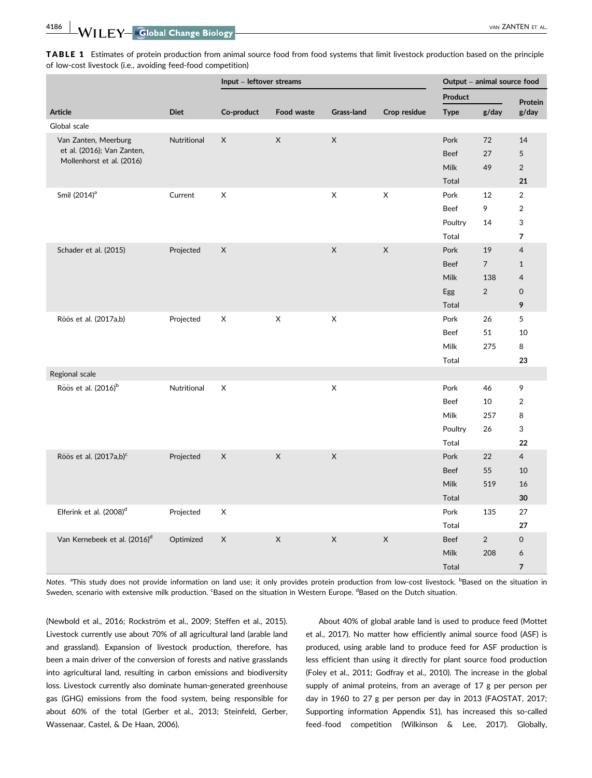|  |                                          |             | Input – leftover streams |            |              |              | Output – animal source food |                |                |
|--|------------------------------------------|-------------|--------------------------|------------|--------------|--------------|-----------------------------|----------------|----------------|
|  |                                          |             |                          |            |              |              | <b>Product</b>              |                | Protein        |
|  | Article                                  | <b>Diet</b> | Co-product               | Food waste | Grass-land   | Crop residue | <b>Type</b>                 | $g$ /day       | $g$ /day       |
|  | Global scale                             |             |                          |            |              |              |                             |                |                |
|  | Van Zanten, Meerburg                     | Nutritional | X                        | X          | $\mathsf X$  |              | Pork                        | 72             | 14             |
|  | et al. (2016); Van Zanten,               |             |                          |            |              |              | <b>Beef</b>                 | 27             | 5              |
|  | Mollenhorst et al. (2016)                |             |                          |            |              |              | <b>Milk</b>                 | 49             | $\overline{2}$ |
|  |                                          |             |                          |            |              |              | Total                       |                | 21             |
|  | Smil (2014) <sup>a</sup>                 | Current     | X                        |            | $\mathsf X$  | X            | Pork                        | 12             | $\overline{2}$ |
|  |                                          |             |                          |            |              |              | Beef                        | 9              | 2              |
|  |                                          |             |                          |            |              |              | Poultry                     | 14             | 3              |
|  |                                          |             |                          |            |              |              | Total                       |                | $\overline{7}$ |
|  | Schader et al. (2015)                    | Projected   | X                        |            | $\mathsf{X}$ | X            | Pork                        | 19             | $\overline{4}$ |
|  |                                          |             |                          |            |              |              | <b>Beef</b>                 | $\overline{7}$ | $\mathbf{1}$   |
|  |                                          |             |                          |            |              |              | Milk                        | 138            | $\overline{4}$ |
|  |                                          |             |                          |            |              |              | Egg                         | $\overline{2}$ | $\mathbf 0$    |
|  |                                          |             |                          |            |              |              | Total                       |                | 9              |
|  | Röös et al. (2017a,b)                    | Projected   | X                        | X          | X            |              | Pork                        | 26             | 5              |
|  |                                          |             |                          |            |              |              | Beef                        | 51             | 10             |
|  |                                          |             |                          |            |              |              | Milk                        | 275            | 8              |
|  |                                          |             |                          |            |              |              | Total                       |                | 23             |
|  | Regional scale                           |             |                          |            |              |              |                             |                |                |
|  | Röös et al. (2016) <sup>b</sup>          | Nutritional | X                        |            | $\mathsf X$  |              | Pork                        | 46             | 9              |
|  |                                          |             |                          |            |              |              | Beef                        | 10             | 2              |
|  |                                          |             |                          |            |              |              | Milk                        | 257            | 8              |
|  |                                          |             |                          |            |              |              | Poultry                     | 26             | 3              |
|  |                                          |             |                          |            |              |              | Total                       |                | 22             |
|  | Röös et al. (2017a,b) <sup>c</sup>       | Projected   | X                        | X          | $\mathsf X$  |              | Pork                        | 22             | $\overline{4}$ |
|  |                                          |             |                          |            |              |              | <b>Beef</b>                 | 55             | 10             |
|  |                                          |             |                          |            |              |              | Milk                        | 519            | 16             |
|  |                                          |             |                          |            |              |              | Total                       |                | 30             |
|  | Elferink et al. (2008) <sup>d</sup>      | Projected   | X                        |            |              |              | Pork                        | 135            | 27             |
|  |                                          |             |                          |            |              |              | Total                       |                | 27             |
|  | Van Kernebeek et al. (2016) <sup>d</sup> | Optimized   | X                        | X          | X            | X            | <b>Beef</b>                 | 2              | 0              |
|  |                                          |             |                          |            |              |              | Milk                        | 208            | 6              |
|  |                                          |             |                          |            |              |              | Total                       |                | $\overline{7}$ |

TABLE 1 Estimates of protein production from animal source food from food systems that limit livestock production based on the principle of low-cost livestock (i.e., avoiding feed-food competition)

Notes. <sup>a</sup>This study does not provide information on land use; it only provides protein production from low-cost livestock. <sup>b</sup>Based on the situation in Sweden, scenario with extensive milk production. <sup>c</sup>Based on the situation in Western Europe. <sup>d</sup>Based on the Dutch situation.

(Newbold et al., 2016; Rockström et al., 2009; Steffen et al., 2015). Livestock currently use about 70% of all agricultural land (arable land and grassland). Expansion of livestock production, therefore, has been a main driver of the conversion of forests and native grasslands into agricultural land, resulting in carbon emissions and biodiversity loss. Livestock currently also dominate human-generated greenhouse gas (GHG) emissions from the food system, being responsible for about 60% of the total (Gerber et al., 2013; Steinfeld, Gerber, Wassenaar, Castel, & De Haan, 2006).

About 40% of global arable land is used to produce feed (Mottet et al., 2017). No matter how efficiently animal source food (ASF) is produced, using arable land to produce feed for ASF production is less efficient than using it directly for plant source food production (Foley et al., 2011; Godfray et al., 2010). The increase in the global supply of animal proteins, from an average of 17 g per person per day in 1960 to 27 g per person per day in 2013 (FAOSTAT, 2017; Supporting information Appendix S1), has increased this so-called feed–food competition (Wilkinson & Lee, 2017). Globally,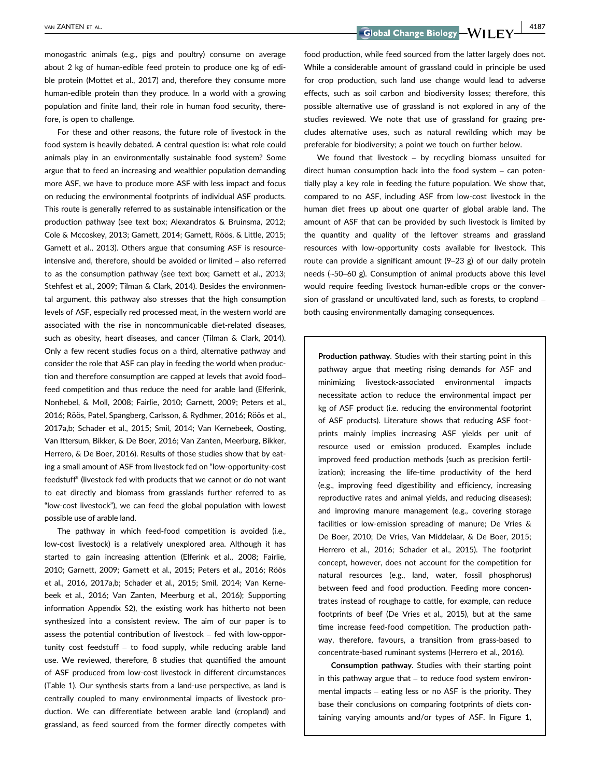monogastric animals (e.g., pigs and poultry) consume on average about 2 kg of human-edible feed protein to produce one kg of edible protein (Mottet et al., 2017) and, therefore they consume more human-edible protein than they produce. In a world with a growing population and finite land, their role in human food security, therefore, is open to challenge.

For these and other reasons, the future role of livestock in the food system is heavily debated. A central question is: what role could animals play in an environmentally sustainable food system? Some argue that to feed an increasing and wealthier population demanding more ASF, we have to produce more ASF with less impact and focus on reducing the environmental footprints of individual ASF products. This route is generally referred to as sustainable intensification or the production pathway (see text box; Alexandratos & Bruinsma, 2012; Cole & Mccoskey, 2013; Garnett, 2014; Garnett, Röös, & Little, 2015; Garnett et al., 2013). Others argue that consuming ASF is resourceintensive and, therefore, should be avoided or limited – also referred to as the consumption pathway (see text box; Garnett et al., 2013; Stehfest et al., 2009; Tilman & Clark, 2014). Besides the environmental argument, this pathway also stresses that the high consumption levels of ASF, especially red processed meat, in the western world are associated with the rise in noncommunicable diet-related diseases, such as obesity, heart diseases, and cancer (Tilman & Clark, 2014). Only a few recent studies focus on a third, alternative pathway and consider the role that ASF can play in feeding the world when production and therefore consumption are capped at levels that avoid food– feed competition and thus reduce the need for arable land (Elferink, Nonhebel, & Moll, 2008; Fairlie, 2010; Garnett, 2009; Peters et al., 2016; Röös, Patel, Spångberg, Carlsson, & Rydhmer, 2016; Röös et al., 2017a,b; Schader et al., 2015; Smil, 2014; Van Kernebeek, Oosting, Van Ittersum, Bikker, & De Boer, 2016; Van Zanten, Meerburg, Bikker, Herrero, & De Boer, 2016). Results of those studies show that by eating a small amount of ASF from livestock fed on "low-opportunity-cost feedstuff" (livestock fed with products that we cannot or do not want to eat directly and biomass from grasslands further referred to as "low-cost livestock"), we can feed the global population with lowest possible use of arable land.

The pathway in which feed-food competition is avoided (i.e., low-cost livestock) is a relatively unexplored area. Although it has started to gain increasing attention (Elferink et al., 2008; Fairlie, 2010; Garnett, 2009; Garnett et al., 2015; Peters et al., 2016; Röös et al., 2016, 2017a,b; Schader et al., 2015; Smil, 2014; Van Kernebeek et al., 2016; Van Zanten, Meerburg et al., 2016); Supporting information Appendix S2), the existing work has hitherto not been synthesized into a consistent review. The aim of our paper is to assess the potential contribution of livestock – fed with low-opportunity cost feedstuff – to food supply, while reducing arable land use. We reviewed, therefore, 8 studies that quantified the amount of ASF produced from low-cost livestock in different circumstances (Table 1). Our synthesis starts from a land-use perspective, as land is centrally coupled to many environmental impacts of livestock production. We can differentiate between arable land (cropland) and grassland, as feed sourced from the former directly competes with

VAN ZANTEN ET AL. **1187**<br> **Global Change Biology —WII FY** 4187

food production, while feed sourced from the latter largely does not. While a considerable amount of grassland could in principle be used for crop production, such land use change would lead to adverse effects, such as soil carbon and biodiversity losses; therefore, this possible alternative use of grassland is not explored in any of the studies reviewed. We note that use of grassland for grazing precludes alternative uses, such as natural rewilding which may be preferable for biodiversity; a point we touch on further below.

We found that livestock – by recycling biomass unsuited for direct human consumption back into the food system – can potentially play a key role in feeding the future population. We show that, compared to no ASF, including ASF from low-cost livestock in the human diet frees up about one quarter of global arable land. The amount of ASF that can be provided by such livestock is limited by the quantity and quality of the leftover streams and grassland resources with low-opportunity costs available for livestock. This route can provide a significant amount (9–23 g) of our daily protein needs (~50–60 g). Consumption of animal products above this level would require feeding livestock human-edible crops or the conversion of grassland or uncultivated land, such as forests, to cropland – both causing environmentally damaging consequences.

**Production pathway**. Studies with their starting point in this pathway argue that meeting rising demands for ASF and minimizing livestock-associated environmental impacts necessitate action to reduce the environmental impact per kg of ASF product (i.e. reducing the environmental footprint of ASF products). Literature shows that reducing ASF footprints mainly implies increasing ASF yields per unit of resource used or emission produced. Examples include improved feed production methods (such as precision fertilization); increasing the life-time productivity of the herd (e.g., improving feed digestibility and efficiency, increasing reproductive rates and animal yields, and reducing diseases); and improving manure management (e.g., covering storage facilities or low-emission spreading of manure; De Vries & De Boer, 2010; De Vries, Van Middelaar, & De Boer, 2015; Herrero et al., 2016; Schader et al., 2015). The footprint concept, however, does not account for the competition for natural resources (e.g., land, water, fossil phosphorus) between feed and food production. Feeding more concentrates instead of roughage to cattle, for example, can reduce footprints of beef (De Vries et al., 2015), but at the same time increase feed-food competition. The production pathway, therefore, favours, a transition from grass-based to concentrate-based ruminant systems (Herrero et al., 2016).

**Consumption pathway**. Studies with their starting point in this pathway argue that – to reduce food system environmental impacts – eating less or no ASF is the priority. They base their conclusions on comparing footprints of diets containing varying amounts and/or types of ASF. In Figure 1,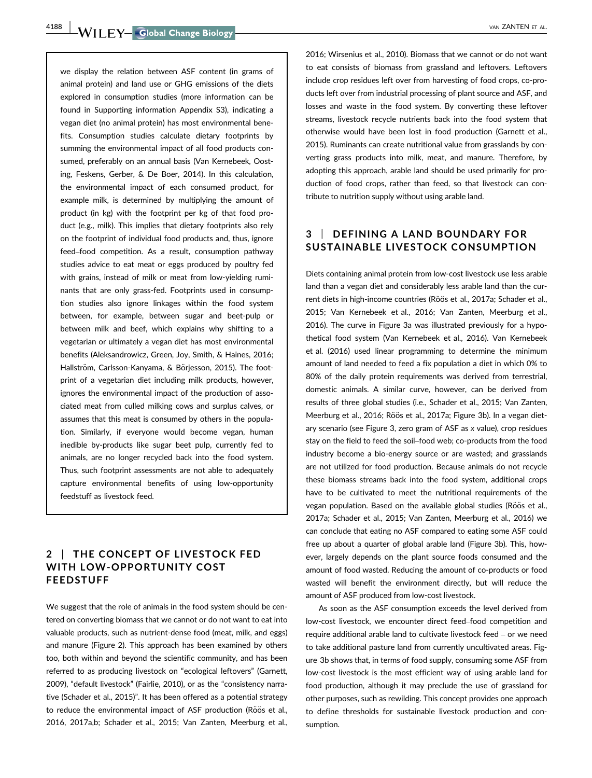**4188 | WII F.Y. Global Change Biology | Construction Construction CONTENTIAL CONTENTENT AL.** 

we display the relation between ASF content (in grams of animal protein) and land use or GHG emissions of the diets explored in consumption studies (more information can be found in Supporting information Appendix S3), indicating a vegan diet (no animal protein) has most environmental benefits. Consumption studies calculate dietary footprints by summing the environmental impact of all food products consumed, preferably on an annual basis (Van Kernebeek, Oosting, Feskens, Gerber, & De Boer, 2014). In this calculation, the environmental impact of each consumed product, for example milk, is determined by multiplying the amount of product (in kg) with the footprint per kg of that food product (e.g., milk). This implies that dietary footprints also rely on the footprint of individual food products and, thus, ignore feed–food competition. As a result, consumption pathway studies advice to eat meat or eggs produced by poultry fed with grains, instead of milk or meat from low-yielding ruminants that are only grass-fed. Footprints used in consumption studies also ignore linkages within the food system between, for example, between sugar and beet-pulp or between milk and beef, which explains why shifting to a vegetarian or ultimately a vegan diet has most environmental benefits (Aleksandrowicz, Green, Joy, Smith, & Haines, 2016; Hallström, Carlsson-Kanyama, & Börjesson, 2015). The footprint of a vegetarian diet including milk products, however, ignores the environmental impact of the production of associated meat from culled milking cows and surplus calves, or assumes that this meat is consumed by others in the population. Similarly, if everyone would become vegan, human inedible by-products like sugar beet pulp, currently fed to animals, are no longer recycled back into the food system. Thus, such footprint assessments are not able to adequately capture environmental benefits of using low-opportunity feedstuff as livestock feed.

## **2** | **THE CONCEPT OF LIVESTOCK FED WITH LOW-OPPORTUNITY COST FEEDSTUFF**

We suggest that the role of animals in the food system should be centered on converting biomass that we cannot or do not want to eat into valuable products, such as nutrient-dense food (meat, milk, and eggs) and manure (Figure 2). This approach has been examined by others too, both within and beyond the scientific community, and has been referred to as producing livestock on "ecological leftovers" (Garnett, 2009), "default livestock" (Fairlie, 2010), or as the "consistency narrative (Schader et al., 2015)". It has been offered as a potential strategy to reduce the environmental impact of ASF production (Röös et al., 2016, 2017a,b; Schader et al., 2015; Van Zanten, Meerburg et al.,

2016; Wirsenius et al., 2010). Biomass that we cannot or do not want to eat consists of biomass from grassland and leftovers. Leftovers include crop residues left over from harvesting of food crops, co-products left over from industrial processing of plant source and ASF, and losses and waste in the food system. By converting these leftover streams, livestock recycle nutrients back into the food system that otherwise would have been lost in food production (Garnett et al., 2015). Ruminants can create nutritional value from grasslands by converting grass products into milk, meat, and manure. Therefore, by adopting this approach, arable land should be used primarily for production of food crops, rather than feed, so that livestock can contribute to nutrition supply without using arable land.

# **3** | **DEFINING A LAND BOUNDARY FOR SUSTAINABLE LIVESTOCK CONSUMPTION**

Diets containing animal protein from low-cost livestock use less arable land than a vegan diet and considerably less arable land than the current diets in high-income countries (Röös et al., 2017a; Schader et al., 2015; Van Kernebeek et al., 2016; Van Zanten, Meerburg et al., 2016). The curve in Figure 3a was illustrated previously for a hypothetical food system (Van Kernebeek et al., 2016). Van Kernebeek et al. (2016) used linear programming to determine the minimum amount of land needed to feed a fix population a diet in which 0% to 80% of the daily protein requirements was derived from terrestrial, domestic animals. A similar curve, however, can be derived from results of three global studies (i.e., Schader et al., 2015; Van Zanten, Meerburg et al., 2016; Röös et al., 2017a; Figure 3b). In a vegan dietary scenario (see Figure 3, zero gram of ASF as *x* value), crop residues stay on the field to feed the soil–food web; co-products from the food industry become a bio-energy source or are wasted; and grasslands are not utilized for food production. Because animals do not recycle these biomass streams back into the food system, additional crops have to be cultivated to meet the nutritional requirements of the vegan population. Based on the available global studies (Röös et al., 2017a; Schader et al., 2015; Van Zanten, Meerburg et al., 2016) we can conclude that eating no ASF compared to eating some ASF could free up about a quarter of global arable land (Figure 3b). This, however, largely depends on the plant source foods consumed and the amount of food wasted. Reducing the amount of co-products or food wasted will benefit the environment directly, but will reduce the amount of ASF produced from low-cost livestock.

As soon as the ASF consumption exceeds the level derived from low-cost livestock, we encounter direct feed–food competition and require additional arable land to cultivate livestock feed – or we need to take additional pasture land from currently uncultivated areas. Figure 3b shows that, in terms of food supply, consuming some ASF from low-cost livestock is the most efficient way of using arable land for food production, although it may preclude the use of grassland for other purposes, such as rewilding. This concept provides one approach to define thresholds for sustainable livestock production and consumption.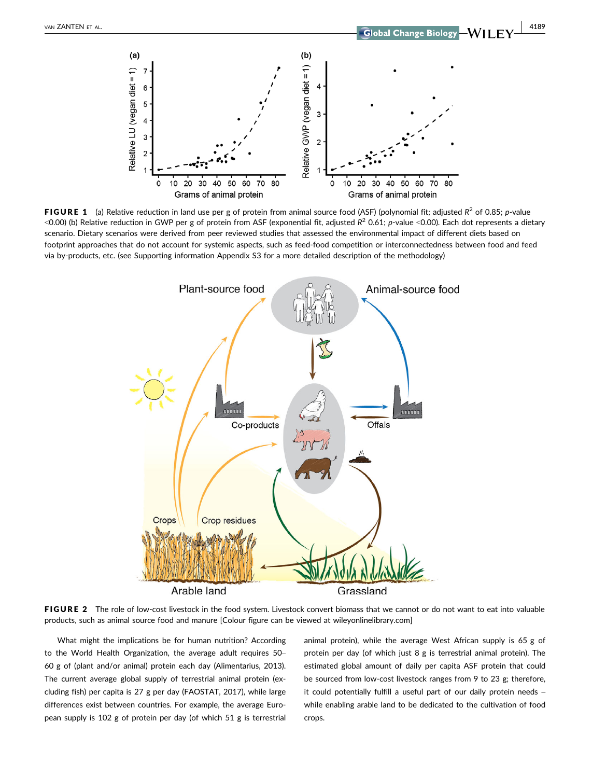

FIGURE 1 (a) Relative reduction in land use per g of protein from animal source food (ASF) (polynomial fit; adjusted R<sup>2</sup> of 0.85; *p*-value <0.00) (b) Relative reduction in GWP per g of protein from ASF (exponential fit, adjusted  $R^2$  0.61; *p*-value <0.00). Each dot represents a dietary scenario. Dietary scenarios were derived from peer reviewed studies that assessed the environmental impact of different diets based on footprint approaches that do not account for systemic aspects, such as feed-food competition or interconnectedness between food and feed via by-products, etc. (see Supporting information Appendix S3 for a more detailed description of the methodology)



FIGURE 2 The role of low-cost livestock in the food system. Livestock convert biomass that we cannot or do not want to eat into valuable products, such as animal source food and manure [Colour figure can be viewed at [wileyonlinelibrary.com\]](www.wileyonlinelibrary.com)

What might the implications be for human nutrition? According to the World Health Organization, the average adult requires 50– 60 g of (plant and/or animal) protein each day (Alimentarius, 2013). The current average global supply of terrestrial animal protein (excluding fish) per capita is 27 g per day (FAOSTAT, 2017), while large differences exist between countries. For example, the average European supply is 102 g of protein per day (of which 51 g is terrestrial animal protein), while the average West African supply is 65 g of protein per day (of which just 8 g is terrestrial animal protein). The estimated global amount of daily per capita ASF protein that could be sourced from low-cost livestock ranges from 9 to 23 g; therefore, it could potentially fulfill a useful part of our daily protein needs – while enabling arable land to be dedicated to the cultivation of food crops.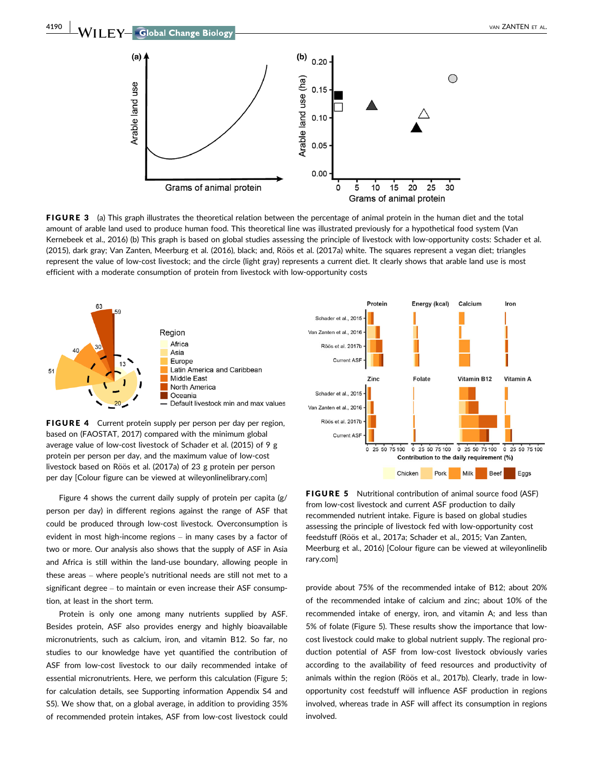

FIGURE 3 (a) This graph illustrates the theoretical relation between the percentage of animal protein in the human diet and the total amount of arable land used to produce human food. This theoretical line was illustrated previously for a hypothetical food system (Van Kernebeek et al., 2016) (b) This graph is based on global studies assessing the principle of livestock with low-opportunity costs: Schader et al. (2015), dark gray; Van Zanten, Meerburg et al. (2016), black; and, Röös et al. (2017a) white. The squares represent a vegan diet; triangles represent the value of low-cost livestock; and the circle (light gray) represents a current diet. It clearly shows that arable land use is most efficient with a moderate consumption of protein from livestock with low-opportunity costs



FIGURE 4 Current protein supply per person per day per region, based on (FAOSTAT, 2017) compared with the minimum global average value of low-cost livestock of Schader et al. (2015) of 9 g protein per person per day, and the maximum value of low-cost livestock based on Röös et al. (2017a) of 23 g protein per person per day [Colour figure can be viewed at [wileyonlinelibrary.com\]](www.wileyonlinelibrary.com)

Figure 4 shows the current daily supply of protein per capita (g/ person per day) in different regions against the range of ASF that could be produced through low-cost livestock. Overconsumption is evident in most high-income regions – in many cases by a factor of two or more. Our analysis also shows that the supply of ASF in Asia and Africa is still within the land-use boundary, allowing people in these areas – where people's nutritional needs are still not met to a significant degree – to maintain or even increase their ASF consumption, at least in the short term.

Protein is only one among many nutrients supplied by ASF. Besides protein, ASF also provides energy and highly bioavailable micronutrients, such as calcium, iron, and vitamin B12. So far, no studies to our knowledge have yet quantified the contribution of ASF from low-cost livestock to our daily recommended intake of essential micronutrients. Here, we perform this calculation (Figure 5; for calculation details, see Supporting information Appendix S4 and S5). We show that, on a global average, in addition to providing 35% of recommended protein intakes, ASF from low-cost livestock could



FIGURE 5 Nutritional contribution of animal source food (ASF) from low-cost livestock and current ASF production to daily recommended nutrient intake. Figure is based on global studies assessing the principle of livestock fed with low-opportunity cost feedstuff (Röös et al., 2017a; Schader et al., 2015; Van Zanten, Meerburg et al., 2016) [Colour figure can be viewed at [wileyonlinelib](www.wileyonlinelibrary.com) [rary.com\]](www.wileyonlinelibrary.com)

provide about 75% of the recommended intake of B12; about 20% of the recommended intake of calcium and zinc; about 10% of the recommended intake of energy, iron, and vitamin A; and less than 5% of folate (Figure 5). These results show the importance that lowcost livestock could make to global nutrient supply. The regional production potential of ASF from low-cost livestock obviously varies according to the availability of feed resources and productivity of animals within the region (Röös et al., 2017b). Clearly, trade in lowopportunity cost feedstuff will influence ASF production in regions involved, whereas trade in ASF will affect its consumption in regions involved.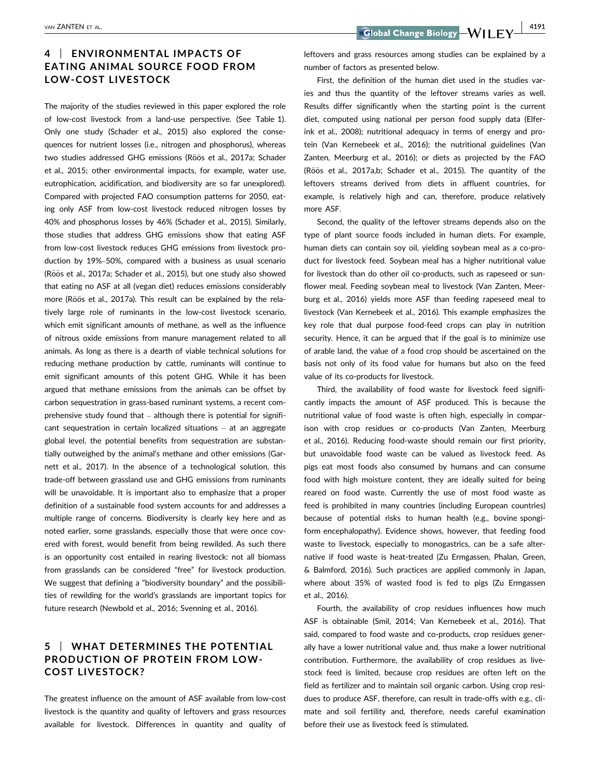# **4** | **ENVIRONMENTAL IMPACTS OF EATING ANIMAL SOURCE FOOD FROM LOW-COST LIVESTOCK**

The majority of the studies reviewed in this paper explored the role of low-cost livestock from a land-use perspective. (See Table 1). Only one study (Schader et al., 2015) also explored the consequences for nutrient losses (i.e., nitrogen and phosphorus), whereas two studies addressed GHG emissions (Röös et al., 2017a; Schader et al., 2015; other environmental impacts, for example, water use, eutrophication, acidification, and biodiversity are so far unexplored). Compared with projected FAO consumption patterns for 2050, eating only ASF from low-cost livestock reduced nitrogen losses by 40% and phosphorus losses by 46% (Schader et al., 2015). Similarly, those studies that address GHG emissions show that eating ASF from low-cost livestock reduces GHG emissions from livestock production by 19%–50%, compared with a business as usual scenario (Röös et al., 2017a; Schader et al., 2015), but one study also showed that eating no ASF at all (vegan diet) reduces emissions considerably more (Röös et al., 2017a). This result can be explained by the relatively large role of ruminants in the low-cost livestock scenario, which emit significant amounts of methane, as well as the influence of nitrous oxide emissions from manure management related to all animals. As long as there is a dearth of viable technical solutions for reducing methane production by cattle, ruminants will continue to emit significant amounts of this potent GHG. While it has been argued that methane emissions from the animals can be offset by carbon sequestration in grass-based ruminant systems, a recent comprehensive study found that – although there is potential for significant sequestration in certain localized situations – at an aggregate global level, the potential benefits from sequestration are substantially outweighed by the animal's methane and other emissions (Garnett et al., 2017). In the absence of a technological solution, this trade-off between grassland use and GHG emissions from ruminants will be unavoidable. It is important also to emphasize that a proper definition of a sustainable food system accounts for and addresses a multiple range of concerns. Biodiversity is clearly key here and as noted earlier, some grasslands, especially those that were once covered with forest, would benefit from being rewilded. As such there is an opportunity cost entailed in rearing livestock: not all biomass from grasslands can be considered "free" for livestock production. We suggest that defining a "biodiversity boundary" and the possibilities of rewilding for the world's grasslands are important topics for future research (Newbold et al., 2016; Svenning et al., 2016).

# **5** | **WHAT DETERMINES THE POTENTIAL PRODUCTION OF PROTEIN FROM LOW-COST LIVESTOCK?**

The greatest influence on the amount of ASF available from low-cost livestock is the quantity and quality of leftovers and grass resources available for livestock. Differences in quantity and quality of leftovers and grass resources among studies can be explained by a number of factors as presented below.

First, the definition of the human diet used in the studies varies and thus the quantity of the leftover streams varies as well. Results differ significantly when the starting point is the current diet, computed using national per person food supply data (Elferink et al., 2008); nutritional adequacy in terms of energy and protein (Van Kernebeek et al., 2016); the nutritional guidelines (Van Zanten, Meerburg et al., 2016); or diets as projected by the FAO (Röös et al., 2017a,b; Schader et al., 2015). The quantity of the leftovers streams derived from diets in affluent countries, for example, is relatively high and can, therefore, produce relatively more ASF.

Second, the quality of the leftover streams depends also on the type of plant source foods included in human diets. For example, human diets can contain soy oil, yielding soybean meal as a co-product for livestock feed. Soybean meal has a higher nutritional value for livestock than do other oil co-products, such as rapeseed or sunflower meal. Feeding soybean meal to livestock (Van Zanten, Meerburg et al., 2016) yields more ASF than feeding rapeseed meal to livestock (Van Kernebeek et al., 2016). This example emphasizes the key role that dual purpose food-feed crops can play in nutrition security. Hence, it can be argued that if the goal is to minimize use of arable land, the value of a food crop should be ascertained on the basis not only of its food value for humans but also on the feed value of its co-products for livestock.

Third, the availability of food waste for livestock feed significantly impacts the amount of ASF produced. This is because the nutritional value of food waste is often high, especially in comparison with crop residues or co-products (Van Zanten, Meerburg et al., 2016). Reducing food-waste should remain our first priority, but unavoidable food waste can be valued as livestock feed. As pigs eat most foods also consumed by humans and can consume food with high moisture content, they are ideally suited for being reared on food waste. Currently the use of most food waste as feed is prohibited in many countries (including European countries) because of potential risks to human health (e.g., bovine spongiform encephalopathy). Evidence shows, however, that feeding food waste to livestock, especially to monogastrics, can be a safe alternative if food waste is heat-treated (Zu Ermgassen, Phalan, Green, & Balmford, 2016). Such practices are applied commonly in Japan, where about 35% of wasted food is fed to pigs (Zu Ermgassen et al., 2016).

Fourth, the availability of crop residues influences how much ASF is obtainable (Smil, 2014; Van Kernebeek et al., 2016). That said, compared to food waste and co-products, crop residues generally have a lower nutritional value and, thus make a lower nutritional contribution. Furthermore, the availability of crop residues as livestock feed is limited, because crop residues are often left on the field as fertilizer and to maintain soil organic carbon. Using crop residues to produce ASF, therefore, can result in trade-offs with e.g., climate and soil fertility and, therefore, needs careful examination before their use as livestock feed is stimulated.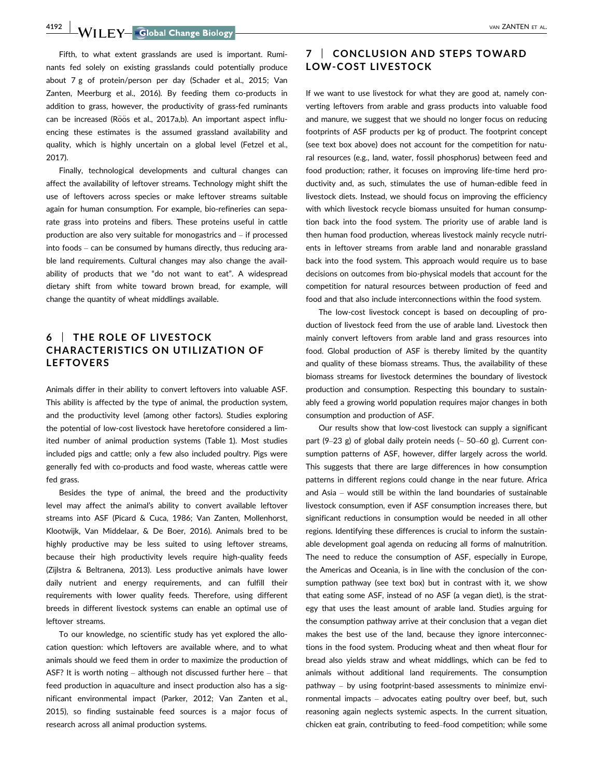**4192 NILEY Global Change Biology Constant Construction Construction Construction** VAN ZANTEN ET AL.

Fifth, to what extent grasslands are used is important. Ruminants fed solely on existing grasslands could potentially produce about 7 g of protein/person per day (Schader et al., 2015; Van Zanten, Meerburg et al., 2016). By feeding them co-products in addition to grass, however, the productivity of grass-fed ruminants can be increased (Röös et al., 2017a,b). An important aspect influencing these estimates is the assumed grassland availability and quality, which is highly uncertain on a global level (Fetzel et al., 2017).

Finally, technological developments and cultural changes can affect the availability of leftover streams. Technology might shift the use of leftovers across species or make leftover streams suitable again for human consumption. For example, bio-refineries can separate grass into proteins and fibers. These proteins useful in cattle production are also very suitable for monogastrics and – if processed into foods – can be consumed by humans directly, thus reducing arable land requirements. Cultural changes may also change the availability of products that we "do not want to eat". A widespread dietary shift from white toward brown bread, for example, will change the quantity of wheat middlings available.

# **6** | **THE ROLE OF LIVESTOCK CHARACTERISTICS ON UTILIZATION OF LEFTOVERS**

Animals differ in their ability to convert leftovers into valuable ASF. This ability is affected by the type of animal, the production system, and the productivity level (among other factors). Studies exploring the potential of low-cost livestock have heretofore considered a limited number of animal production systems (Table 1). Most studies included pigs and cattle; only a few also included poultry. Pigs were generally fed with co-products and food waste, whereas cattle were fed grass.

Besides the type of animal, the breed and the productivity level may affect the animal's ability to convert available leftover streams into ASF (Picard & Cuca, 1986; Van Zanten, Mollenhorst, Klootwijk, Van Middelaar, & De Boer, 2016). Animals bred to be highly productive may be less suited to using leftover streams, because their high productivity levels require high-quality feeds (Zijlstra & Beltranena, 2013). Less productive animals have lower daily nutrient and energy requirements, and can fulfill their requirements with lower quality feeds. Therefore, using different breeds in different livestock systems can enable an optimal use of leftover streams.

To our knowledge, no scientific study has yet explored the allocation question: which leftovers are available where, and to what animals should we feed them in order to maximize the production of ASF? It is worth noting – although not discussed further here – that feed production in aquaculture and insect production also has a significant environmental impact (Parker, 2012; Van Zanten et al., 2015), so finding sustainable feed sources is a major focus of research across all animal production systems.

# **7** | **CONCLUSION AND STEPS TOWARD LOW-COST LIVESTOCK**

If we want to use livestock for what they are good at, namely converting leftovers from arable and grass products into valuable food and manure, we suggest that we should no longer focus on reducing footprints of ASF products per kg of product. The footprint concept (see text box above) does not account for the competition for natural resources (e.g., land, water, fossil phosphorus) between feed and food production; rather, it focuses on improving life-time herd productivity and, as such, stimulates the use of human-edible feed in livestock diets. Instead, we should focus on improving the efficiency with which livestock recycle biomass unsuited for human consumption back into the food system. The priority use of arable land is then human food production, whereas livestock mainly recycle nutrients in leftover streams from arable land and nonarable grassland back into the food system. This approach would require us to base decisions on outcomes from bio-physical models that account for the competition for natural resources between production of feed and food and that also include interconnections within the food system.

The low-cost livestock concept is based on decoupling of production of livestock feed from the use of arable land. Livestock then mainly convert leftovers from arable land and grass resources into food. Global production of ASF is thereby limited by the quantity and quality of these biomass streams. Thus, the availability of these biomass streams for livestock determines the boundary of livestock production and consumption. Respecting this boundary to sustainably feed a growing world population requires major changes in both consumption and production of ASF.

Our results show that low-cost livestock can supply a significant part (9–23 g) of global daily protein needs ( $\sim$  50–60 g). Current consumption patterns of ASF, however, differ largely across the world. This suggests that there are large differences in how consumption patterns in different regions could change in the near future. Africa and Asia – would still be within the land boundaries of sustainable livestock consumption, even if ASF consumption increases there, but significant reductions in consumption would be needed in all other regions. Identifying these differences is crucial to inform the sustainable development goal agenda on reducing all forms of malnutrition. The need to reduce the consumption of ASF, especially in Europe, the Americas and Oceania, is in line with the conclusion of the consumption pathway (see text box) but in contrast with it, we show that eating some ASF, instead of no ASF (a vegan diet), is the strategy that uses the least amount of arable land. Studies arguing for the consumption pathway arrive at their conclusion that a vegan diet makes the best use of the land, because they ignore interconnections in the food system. Producing wheat and then wheat flour for bread also yields straw and wheat middlings, which can be fed to animals without additional land requirements. The consumption pathway – by using footprint-based assessments to minimize environmental impacts – advocates eating poultry over beef, but, such reasoning again neglects systemic aspects. In the current situation, chicken eat grain, contributing to feed–food competition; while some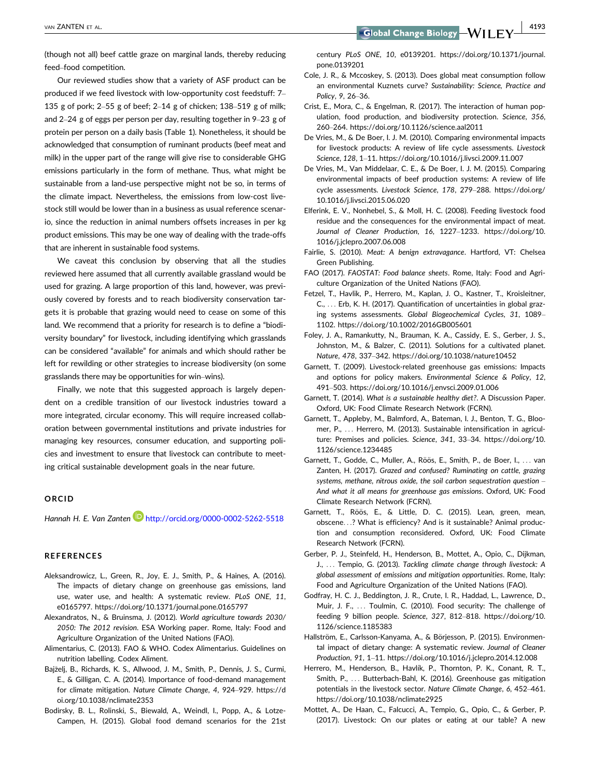(though not all) beef cattle graze on marginal lands, thereby reducing feed–food competition.

Our reviewed studies show that a variety of ASF product can be produced if we feed livestock with low-opportunity cost feedstuff: 7– 135 g of pork; 2–55 g of beef; 2–14 g of chicken; 138–519 g of milk; and 2–24 g of eggs per person per day, resulting together in 9–23 g of protein per person on a daily basis (Table 1). Nonetheless, it should be acknowledged that consumption of ruminant products (beef meat and milk) in the upper part of the range will give rise to considerable GHG emissions particularly in the form of methane. Thus, what might be sustainable from a land-use perspective might not be so, in terms of the climate impact. Nevertheless, the emissions from low-cost livestock still would be lower than in a business as usual reference scenario, since the reduction in animal numbers offsets increases in per kg product emissions. This may be one way of dealing with the trade-offs that are inherent in sustainable food systems.

We caveat this conclusion by observing that all the studies reviewed here assumed that all currently available grassland would be used for grazing. A large proportion of this land, however, was previously covered by forests and to reach biodiversity conservation targets it is probable that grazing would need to cease on some of this land. We recommend that a priority for research is to define a "biodiversity boundary" for livestock, including identifying which grasslands can be considered "available" for animals and which should rather be left for rewilding or other strategies to increase biodiversity (on some grasslands there may be opportunities for win–wins).

Finally, we note that this suggested approach is largely dependent on a credible transition of our livestock industries toward a more integrated, circular economy. This will require increased collaboration between governmental institutions and private industries for managing key resources, consumer education, and supporting policies and investment to ensure that livestock can contribute to meeting critical sustainable development goals in the near future.

#### **ORCID**

*Hannah H. E. Van Zanten* http://orcid.org/0000-0002-5262-5518

#### **REFERENCES**

- Aleksandrowicz, L., Green, R., Joy, E. J., Smith, P., & Haines, A. (2016). The impacts of dietary change on greenhouse gas emissions, land use, water use, and health: A systematic review. *PLoS ONE*, *11*, e0165797.<https://doi.org/10.1371/journal.pone.0165797>
- Alexandratos, N., & Bruinsma, J. (2012). *World agriculture towards 2030/ 2050: The 2012 revision*. ESA Working paper. Rome, Italy: Food and Agriculture Organization of the United Nations (FAO).
- Alimentarius, C. (2013). FAO & WHO. Codex Alimentarius. Guidelines on nutrition labelling. Codex Aliment.
- Bajželj, B., Richards, K. S., Allwood, J. M., Smith, P., Dennis, J. S., Curmi, E., & Gilligan, C. A. (2014). Importance of food-demand management for climate mitigation. *Nature Climate Change*, *4*, 924–929. [https://d](https://doi.org/10.1038/nclimate2353) [oi.org/10.1038/nclimate2353](https://doi.org/10.1038/nclimate2353)
- Bodirsky, B. L., Rolinski, S., Biewald, A., Weindl, I., Popp, A., & Lotze-Campen, H. (2015). Global food demand scenarios for the 21st

century *PLoS ONE*, *10*, e0139201. [https://doi.org/10.1371/journal.](https://doi.org/10.1371/journal.pone.0139201) [pone.0139201](https://doi.org/10.1371/journal.pone.0139201)

- Cole, J. R., & Mccoskey, S. (2013). Does global meat consumption follow an environmental Kuznets curve? *Sustainability: Science, Practice and Policy*, *9*, 26–36.
- Crist, E., Mora, C., & Engelman, R. (2017). The interaction of human population, food production, and biodiversity protection. *Science*, *356*, 260–264.<https://doi.org/10.1126/science.aal2011>
- De Vries, M., & De Boer, I. J. M. (2010). Comparing environmental impacts for livestock products: A review of life cycle assessments. *Livestock Science*, *128*, 1–11.<https://doi.org/10.1016/j.livsci.2009.11.007>
- De Vries, M., Van Middelaar, C. E., & De Boer, I. J. M. (2015). Comparing environmental impacts of beef production systems: A review of life cycle assessments. *Livestock Science*, *178*, 279–288. [https://doi.org/](https://doi.org/10.1016/j.livsci.2015.06.020) [10.1016/j.livsci.2015.06.020](https://doi.org/10.1016/j.livsci.2015.06.020)
- Elferink, E. V., Nonhebel, S., & Moll, H. C. (2008). Feeding livestock food residue and the consequences for the environmental impact of meat. *Journal of Cleaner Production*, *16*, 1227–1233. [https://doi.org/10.](https://doi.org/10.1016/j.jclepro.2007.06.008) [1016/j.jclepro.2007.06.008](https://doi.org/10.1016/j.jclepro.2007.06.008)
- Fairlie, S. (2010). *Meat: A benign extravagance*. Hartford, VT: Chelsea Green Publishing.
- FAO (2017). *FAOSTAT: Food balance sheets*. Rome, Italy: Food and Agriculture Organization of the United Nations (FAO).
- Fetzel, T., Havlik, P., Herrero, M., Kaplan, J. O., Kastner, T., Kroisleitner, C., ... Erb, K. H. (2017). Quantification of uncertainties in global grazing systems assessments. *Global Biogeochemical Cycles*, *31*, 1089– 1102.<https://doi.org/10.1002/2016GB005601>
- Foley, J. A., Ramankutty, N., Brauman, K. A., Cassidy, E. S., Gerber, J. S., Johnston, M., & Balzer, C. (2011). Solutions for a cultivated planet. *Nature*, *478*, 337–342.<https://doi.org/10.1038/nature10452>
- Garnett, T. (2009). Livestock-related greenhouse gas emissions: Impacts and options for policy makers. *Environmental Science & Policy*, *12*, 491–503.<https://doi.org/10.1016/j.envsci.2009.01.006>
- Garnett, T. (2014). *What is a sustainable healthy diet?*. A Discussion Paper. Oxford, UK: Food Climate Research Network (FCRN).
- Garnett, T., Appleby, M., Balmford, A., Bateman, I. J., Benton, T. G., Bloomer, P., ... Herrero, M. (2013). Sustainable intensification in agriculture: Premises and policies. *Science*, *341*, 33–34. [https://doi.org/10.](https://doi.org/10.1126/science.1234485) [1126/science.1234485](https://doi.org/10.1126/science.1234485)
- Garnett, T., Godde, C., Muller, A., Röös, E., Smith, P., de Boer, I., ... van Zanten, H. (2017). *Grazed and confused? Ruminating on cattle, grazing systems, methane, nitrous oxide, the soil carbon sequestration question – And what it all means for greenhouse gas emissions*. Oxford, UK: Food Climate Research Network (FCRN).
- Garnett, T., Röös, E., & Little, D. C. (2015). Lean, green, mean, obscene...? What is efficiency? And is it sustainable? Animal production and consumption reconsidered. Oxford, UK: Food Climate Research Network (FCRN).
- Gerber, P. J., Steinfeld, H., Henderson, B., Mottet, A., Opio, C., Dijkman, J., ... Tempio, G. (2013). *Tackling climate change through livestock: A global assessment of emissions and mitigation opportunities*. Rome, Italy: Food and Agriculture Organization of the United Nations (FAO).
- Godfray, H. C. J., Beddington, J. R., Crute, I. R., Haddad, L., Lawrence, D., Muir, J. F., ... Toulmin, C. (2010). Food security: The challenge of feeding 9 billion people. *Science*, *327*, 812–818. [https://doi.org/10.](https://doi.org/10.1126/science.1185383) [1126/science.1185383](https://doi.org/10.1126/science.1185383)
- Hallström, E., Carlsson-Kanyama, A., & Börjesson, P. (2015). Environmental impact of dietary change: A systematic review. *Journal of Cleaner Production*, *91*, 1–11.<https://doi.org/10.1016/j.jclepro.2014.12.008>
- Herrero, M., Henderson, B., Havlík, P., Thornton, P. K., Conant, R. T., Smith, P., ... Butterbach-Bahl, K. (2016). Greenhouse gas mitigation potentials in the livestock sector. *Nature Climate Change*, *6*, 452–461. <https://doi.org/10.1038/nclimate2925>
- Mottet, A., De Haan, C., Falcucci, A., Tempio, G., Opio, C., & Gerber, P. (2017). Livestock: On our plates or eating at our table? A new